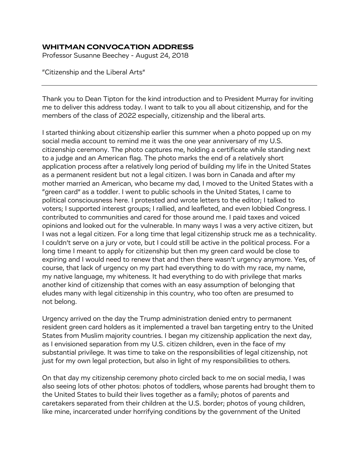## **WHITMAN CONVOCATION ADDRESS**

Professor Susanne Beechey - August 24, 2018

"Citizenship and the Liberal Arts"

Thank you to Dean Tipton for the kind introduction and to President Murray for inviting me to deliver this address today. I want to talk to you all about citizenship, and for the members of the class of 2022 especially, citizenship and the liberal arts.

I started thinking about citizenship earlier this summer when a photo popped up on my social media account to remind me it was the one year anniversary of my U.S. citizenship ceremony. The photo captures me, holding a certificate while standing next to a judge and an American flag. The photo marks the end of a relatively short application process after a relatively long period of building my life in the United States as a permanent resident but not a legal citizen. I was born in Canada and after my mother married an American, who became my dad, I moved to the United States with a "green card" as a toddler. I went to public schools in the United States, I came to political consciousness here. I protested and wrote letters to the editor; I talked to voters; I supported interest groups; I rallied, and leafleted, and even lobbied Congress. I contributed to communities and cared for those around me. I paid taxes and voiced opinions and looked out for the vulnerable. In many ways I was a very active citizen, but I was not a legal citizen. For a long time that legal citizenship struck me as a technicality. I couldn't serve on a jury or vote, but I could still be active in the political process. For a long time I meant to apply for citizenship but then my green card would be close to expiring and I would need to renew that and then there wasn't urgency anymore. Yes, of course, that lack of urgency on my part had everything to do with my race, my name, my native language, my whiteness. It had everything to do with privilege that marks another kind of citizenship that comes with an easy assumption of belonging that eludes many with legal citizenship in this country, who too often are presumed to not belong.

Urgency arrived on the day the Trump administration denied entry to permanent resident green card holders as it implemented a travel ban targeting entry to the United States from Muslim majority countries. I began my citizenship application the next day, as I envisioned separation from my U.S. citizen children, even in the face of my substantial privilege. It was time to take on the responsibilities of legal citizenship, not just for my own legal protection, but also in light of my responsibilities to others.

On that day my citizenship ceremony photo circled back to me on social media, I was also seeing lots of other photos: photos of toddlers, whose parents had brought them to the United States to build their lives together as a family; photos of parents and caretakers separated from their children at the U.S. border; photos of young children, like mine, incarcerated under horrifying conditions by the government of the United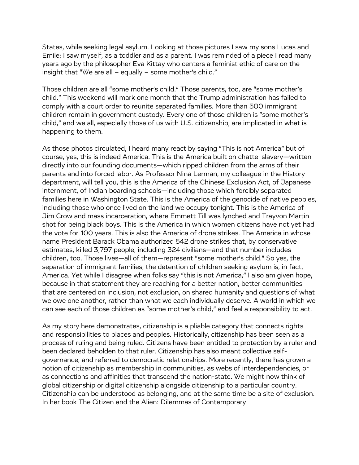States, while seeking legal asylum. Looking at those pictures I saw my sons Lucas and Emile; I saw myself, as a toddler and as a parent. I was reminded of a piece I read many years ago by the philosopher Eva Kittay who centers a feminist ethic of care on the insight that "We are all – equally – some mother's child."

Those children are all "some mother's child." Those parents, too, are "some mother's child." This weekend will mark one month that the Trump administration has failed to comply with a court order to reunite separated families. More than 500 immigrant children remain in government custody. Every one of those children is "some mother's child," and we all, especially those of us with U.S. citizenship, are implicated in what is happening to them.

As those photos circulated, I heard many react by saying "This is not America" but of course, yes, this is indeed America. This is the America built on chattel slavery—written directly into our founding documents—which ripped children from the arms of their parents and into forced labor. As Professor Nina Lerman, my colleague in the History department, will tell you, this is the America of the Chinese Exclusion Act, of Japanese internment, of Indian boarding schools—including those which forcibly separated families here in Washington State. This is the America of the genocide of native peoples, including those who once lived on the land we occupy tonight. This is the America of Jim Crow and mass incarceration, where Emmett Till was lynched and Trayvon Martin shot for being black boys. This is the America in which women citizens have not yet had the vote for 100 years. This is also the America of drone strikes. The America in whose name President Barack Obama authorized 542 drone strikes that, by conservative estimates, killed 3,797 people, including 324 civilians—and that number includes children, too. Those lives—all of them—represent "some mother's child." So yes, the separation of immigrant families, the detention of children seeking asylum is, in fact, America. Yet while I disagree when folks say "this is not America," I also am given hope, because in that statement they are reaching for a better nation, better communities that are centered on inclusion, not exclusion, on shared humanity and questions of what we owe one another, rather than what we each individually deserve. A world in which we can see each of those children as "some mother's child," and feel a responsibility to act.

As my story here demonstrates, citizenship is a pliable category that connects rights and responsibilities to places and peoples. Historically, citizenship has been seen as a process of ruling and being ruled. Citizens have been entitled to protection by a ruler and been declared beholden to that ruler. Citizenship has also meant collective selfgovernance, and referred to democratic relationships. More recently, there has grown a notion of citizenship as membership in communities, as webs of interdependencies, or as connections and affinities that transcend the nation-state. We might now think of global citizenship or digital citizenship alongside citizenship to a particular country. Citizenship can be understood as belonging, and at the same time be a site of exclusion. In her book The Citizen and the Alien: Dilemmas of Contemporary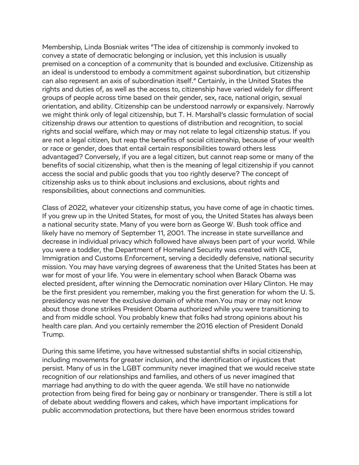Membership, Linda Bosniak writes "The idea of citizenship is commonly invoked to convey a state of democratic belonging or inclusion, yet this inclusion is usually premised on a conception of a community that is bounded and exclusive. Citizenship as an ideal is understood to embody a commitment against subordination, but citizenship can also represent an axis of subordination itself." Certainly, in the United States the rights and duties of, as well as the access to, citizenship have varied widely for different groups of people across time based on their gender, sex, race, national origin, sexual orientation, and ability. Citizenship can be understood narrowly or expansively. Narrowly we might think only of legal citizenship, but T. H. Marshall's classic formulation of social citizenship draws our attention to questions of distribution and recognition, to social rights and social welfare, which may or may not relate to legal citizenship status. If you are not a legal citizen, but reap the benefits of social citizenship, because of your wealth or race or gender, does that entail certain responsibilities toward others less advantaged? Conversely, if you are a legal citizen, but cannot reap some or many of the benefits of social citizenship, what then is the meaning of legal citizenship if you cannot access the social and public goods that you too rightly deserve? The concept of citizenship asks us to think about inclusions and exclusions, about rights and responsibilities, about connections and communities.

Class of 2022, whatever your citizenship status, you have come of age in chaotic times. If you grew up in the United States, for most of you, the United States has always been a national security state. Many of you were born as George W. Bush took office and likely have no memory of September 11, 2001. The increase in state surveillance and decrease in individual privacy which followed have always been part of your world. While you were a toddler, the Department of Homeland Security was created with ICE, Immigration and Customs Enforcement, serving a decidedly defensive, national security mission. You may have varying degrees of awareness that the United States has been at war for most of your life. You were in elementary school when Barack Obama was elected president, after winning the Democratic nomination over Hilary Clinton. He may be the first president you remember, making you the first generation for whom the U. S. presidency was never the exclusive domain of white men.You may or may not know about those drone strikes President Obama authorized while you were transitioning to and from middle school. You probably knew that folks had strong opinions about his health care plan. And you certainly remember the 2016 election of President Donald Trump.

During this same lifetime, you have witnessed substantial shifts in social citizenship, including movements for greater inclusion, and the identification of injustices that persist. Many of us in the LGBT community never imagined that we would receive state recognition of our relationships and families, and others of us never imagined that marriage had anything to do with the queer agenda. We still have no nationwide protection from being fired for being gay or nonbinary or transgender. There is still a lot of debate about wedding flowers and cakes, which have important implications for public accommodation protections, but there have been enormous strides toward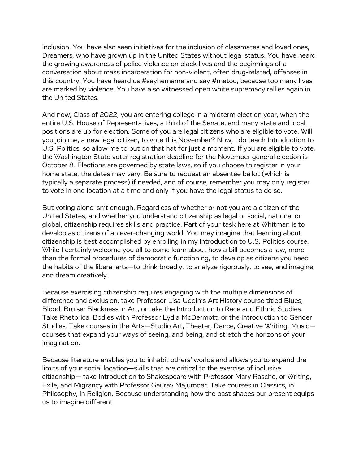inclusion. You have also seen initiatives for the inclusion of classmates and loved ones, Dreamers, who have grown up in the United States without legal status. You have heard the growing awareness of police violence on black lives and the beginnings of a conversation about mass incarceration for non-violent, often drug-related, offenses in this country. You have heard us #sayhername and say #metoo, because too many lives are marked by violence. You have also witnessed open white supremacy rallies again in the United States.

And now, Class of 2022, you are entering college in a midterm election year, when the entire U.S. House of Representatives, a third of the Senate, and many state and local positions are up for election. Some of you are legal citizens who are eligible to vote. Will you join me, a new legal citizen, to vote this November? Now, I do teach Introduction to U.S. Politics, so allow me to put on that hat for just a moment. If you are eligible to vote, the Washington State voter registration deadline for the November general election is October 8. Elections are governed by state laws, so if you choose to register in your home state, the dates may vary. Be sure to request an absentee ballot (which is typically a separate process) if needed, and of course, remember you may only register to vote in one location at a time and only if you have the legal status to do so.

But voting alone isn't enough. Regardless of whether or not you are a citizen of the United States, and whether you understand citizenship as legal or social, national or global, citizenship requires skills and practice. Part of your task here at Whitman is to develop as citizens of an ever-changing world. You may imagine that learning about citizenship is best accomplished by enrolling in my Introduction to U.S. Politics course. While I certainly welcome you all to come learn about how a bill becomes a law, more than the formal procedures of democratic functioning, to develop as citizens you need the habits of the liberal arts—to think broadly, to analyze rigorously, to see, and imagine, and dream creatively.

Because exercising citizenship requires engaging with the multiple dimensions of difference and exclusion, take Professor Lisa Uddin's Art History course titled Blues, Blood, Bruise: Blackness in Art, or take the Introduction to Race and Ethnic Studies. Take Rhetorical Bodies with Professor Lydia McDermott, or the Introduction to Gender Studies. Take courses in the Arts—Studio Art, Theater, Dance, Creative Writing, Music courses that expand your ways of seeing, and being, and stretch the horizons of your imagination.

Because literature enables you to inhabit others' worlds and allows you to expand the limits of your social location—skills that are critical to the exercise of inclusive citizenship— take Introduction to Shakespeare with Professor Mary Rascho, or Writing, Exile, and Migrancy with Professor Gaurav Majumdar. Take courses in Classics, in Philosophy, in Religion. Because understanding how the past shapes our present equips us to imagine different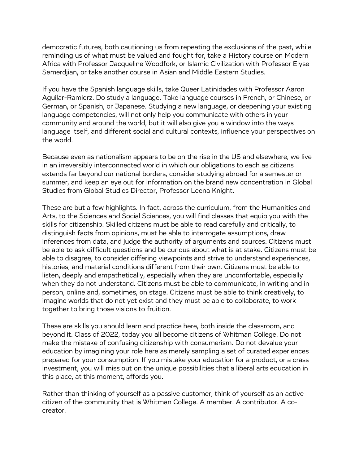democratic futures, both cautioning us from repeating the exclusions of the past, while reminding us of what must be valued and fought for, take a History course on Modern Africa with Professor Jacqueline Woodfork, or Islamic Civilization with Professor Elyse Semerdjian, or take another course in Asian and Middle Eastern Studies.

If you have the Spanish language skills, take Queer Latinidades with Professor Aaron Aguilar-Ramierz. Do study a language. Take language courses in French, or Chinese, or German, or Spanish, or Japanese. Studying a new language, or deepening your existing language competencies, will not only help you communicate with others in your community and around the world, but it will also give you a window into the ways language itself, and different social and cultural contexts, influence your perspectives on the world.

Because even as nationalism appears to be on the rise in the US and elsewhere, we live in an irreversibly interconnected world in which our obligations to each as citizens extends far beyond our national borders, consider studying abroad for a semester or summer, and keep an eye out for information on the brand new concentration in Global Studies from Global Studies Director, Professor Leena Knight.

These are but a few highlights. In fact, across the curriculum, from the Humanities and Arts, to the Sciences and Social Sciences, you will find classes that equip you with the skills for citizenship. Skilled citizens must be able to read carefully and critically, to distinguish facts from opinions, must be able to interrogate assumptions, draw inferences from data, and judge the authority of arguments and sources. Citizens must be able to ask difficult questions and be curious about what is at stake. Citizens must be able to disagree, to consider differing viewpoints and strive to understand experiences, histories, and material conditions different from their own. Citizens must be able to listen, deeply and empathetically, especially when they are uncomfortable, especially when they do not understand. Citizens must be able to communicate, in writing and in person, online and, sometimes, on stage. Citizens must be able to think creatively, to imagine worlds that do not yet exist and they must be able to collaborate, to work together to bring those visions to fruition.

These are skills you should learn and practice here, both inside the classroom, and beyond it. Class of 2022, today you all become citizens of Whitman College. Do not make the mistake of confusing citizenship with consumerism. Do not devalue your education by imagining your role here as merely sampling a set of curated experiences prepared for your consumption. If you mistake your education for a product, or a crass investment, you will miss out on the unique possibilities that a liberal arts education in this place, at this moment, affords you.

Rather than thinking of yourself as a passive customer, think of yourself as an active citizen of the community that is Whitman College. A member. A contributor. A cocreator.